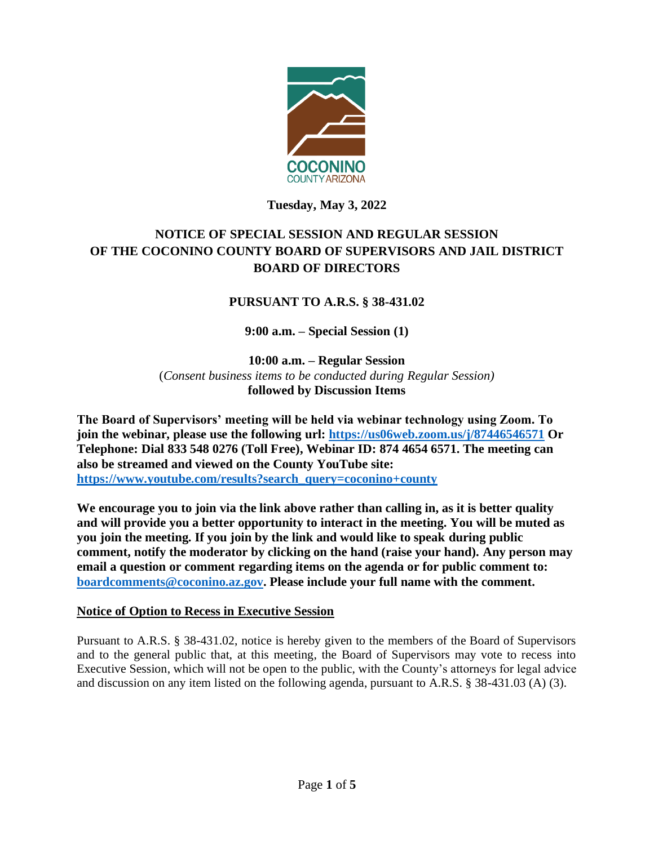

### **Tuesday, May 3, 2022**

# **NOTICE OF SPECIAL SESSION AND REGULAR SESSION OF THE COCONINO COUNTY BOARD OF SUPERVISORS AND JAIL DISTRICT BOARD OF DIRECTORS**

### **PURSUANT TO A.R.S. § 38-431.02**

**9:00 a.m. – Special Session (1)**

**10:00 a.m. – Regular Session**  (*Consent business items to be conducted during Regular Session)* **followed by Discussion Items** 

**The Board of Supervisors' meeting will be held via webinar technology using Zoom. To join the webinar, please use the following url: <https://us06web.zoom.us/j/87446546571> Or Telephone: Dial 833 548 0276 (Toll Free), Webinar ID: 874 4654 6571. The meeting can also be streamed and viewed on the County YouTube site: [https://www.youtube.com/results?search\\_query=coconino+county](https://www.youtube.com/results?search_query=coconino+county)**

**We encourage you to join via the link above rather than calling in, as it is better quality and will provide you a better opportunity to interact in the meeting. You will be muted as you join the meeting. If you join by the link and would like to speak during public comment, notify the moderator by clicking on the hand (raise your hand). Any person may email a question or comment regarding items on the agenda or for public comment to: [boardcomments@coconino.az.gov.](mailto:boardcomments@coconino.az.gov) Please include your full name with the comment.** 

#### **Notice of Option to Recess in Executive Session**

Pursuant to A.R.S. § 38-431.02, notice is hereby given to the members of the Board of Supervisors and to the general public that, at this meeting, the Board of Supervisors may vote to recess into Executive Session, which will not be open to the public, with the County's attorneys for legal advice and discussion on any item listed on the following agenda, pursuant to A.R.S. § 38-431.03 (A) (3).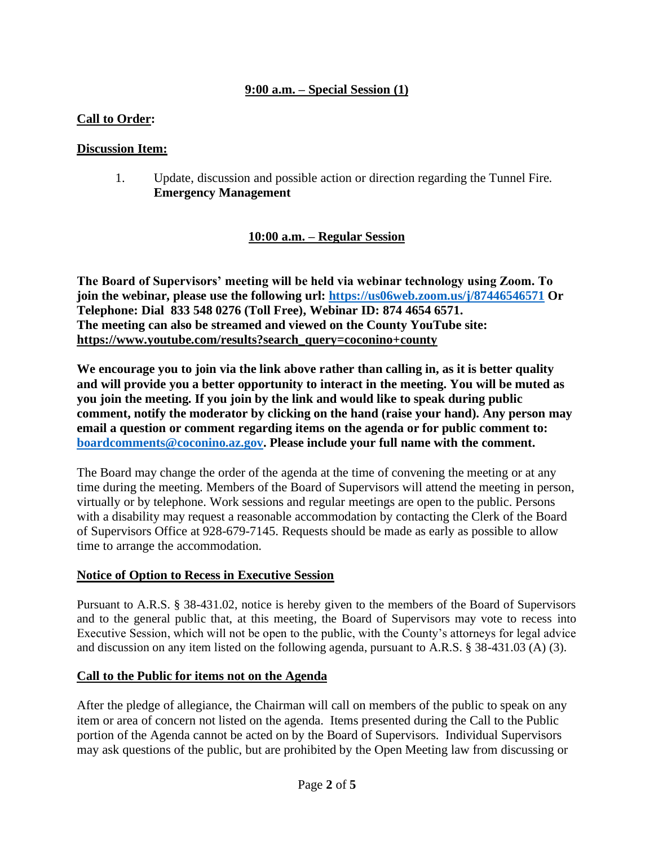### **9:00 a.m. – Special Session (1)**

### **Call to Order:**

#### **Discussion Item:**

1. Update, discussion and possible action or direction regarding the Tunnel Fire. **Emergency Management**

#### **10:00 a.m. – Regular Session**

**The Board of Supervisors' meeting will be held via webinar technology using Zoom. To join the webinar, please use the following url: <https://us06web.zoom.us/j/87446546571> Or Telephone: Dial 833 548 0276 (Toll Free), Webinar ID: 874 4654 6571. The meeting can also be streamed and viewed on the County YouTube site: [https://www.youtube.com/results?search\\_query=coconino+county](https://www.youtube.com/results?search_query=coconino+county)**

**We encourage you to join via the link above rather than calling in, as it is better quality and will provide you a better opportunity to interact in the meeting. You will be muted as you join the meeting. If you join by the link and would like to speak during public comment, notify the moderator by clicking on the hand (raise your hand). Any person may email a question or comment regarding items on the agenda or for public comment to: [boardcomments@coconino.az.gov.](mailto:boardcomments@coconino.az.gov) Please include your full name with the comment.** 

The Board may change the order of the agenda at the time of convening the meeting or at any time during the meeting. Members of the Board of Supervisors will attend the meeting in person, virtually or by telephone. Work sessions and regular meetings are open to the public. Persons with a disability may request a reasonable accommodation by contacting the Clerk of the Board of Supervisors Office at 928-679-7145. Requests should be made as early as possible to allow time to arrange the accommodation.

#### **Notice of Option to Recess in Executive Session**

Pursuant to A.R.S. § 38-431.02, notice is hereby given to the members of the Board of Supervisors and to the general public that, at this meeting, the Board of Supervisors may vote to recess into Executive Session, which will not be open to the public, with the County's attorneys for legal advice and discussion on any item listed on the following agenda, pursuant to A.R.S. § 38-431.03 (A) (3).

#### **Call to the Public for items not on the Agenda**

After the pledge of allegiance, the Chairman will call on members of the public to speak on any item or area of concern not listed on the agenda. Items presented during the Call to the Public portion of the Agenda cannot be acted on by the Board of Supervisors. Individual Supervisors may ask questions of the public, but are prohibited by the Open Meeting law from discussing or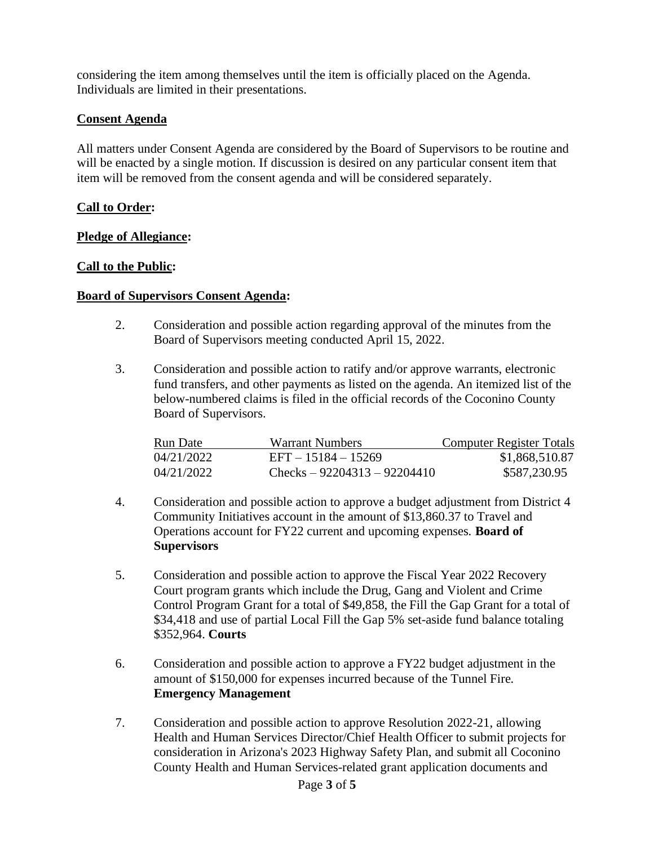considering the item among themselves until the item is officially placed on the Agenda. Individuals are limited in their presentations.

#### **Consent Agenda**

All matters under Consent Agenda are considered by the Board of Supervisors to be routine and will be enacted by a single motion. If discussion is desired on any particular consent item that item will be removed from the consent agenda and will be considered separately.

#### **Call to Order:**

#### **Pledge of Allegiance:**

#### **Call to the Public:**

#### **Board of Supervisors Consent Agenda:**

- 2. Consideration and possible action regarding approval of the minutes from the Board of Supervisors meeting conducted April 15, 2022.
- 3. Consideration and possible action to ratify and/or approve warrants, electronic fund transfers, and other payments as listed on the agenda. An itemized list of the below-numbered claims is filed in the official records of the Coconino County Board of Supervisors.

| Run Date   | Warrant Numbers               | Computer Register Totals |
|------------|-------------------------------|--------------------------|
| 04/21/2022 | $EFT - 15184 - 15269$         | \$1,868,510.87           |
| 04/21/2022 | Checks $-92204313 - 92204410$ | \$587,230.95             |

- 4. Consideration and possible action to approve a budget adjustment from District 4 Community Initiatives account in the amount of \$13,860.37 to Travel and Operations account for FY22 current and upcoming expenses. **Board of Supervisors**
- 5. Consideration and possible action to approve the Fiscal Year 2022 Recovery Court program grants which include the Drug, Gang and Violent and Crime Control Program Grant for a total of \$49,858, the Fill the Gap Grant for a total of \$34,418 and use of partial Local Fill the Gap 5% set-aside fund balance totaling \$352,964. **Courts**
- 6. Consideration and possible action to approve a FY22 budget adjustment in the amount of \$150,000 for expenses incurred because of the Tunnel Fire. **Emergency Management**
- 7. Consideration and possible action to approve Resolution 2022-21, allowing Health and Human Services Director/Chief Health Officer to submit projects for consideration in Arizona's 2023 Highway Safety Plan, and submit all Coconino County Health and Human Services-related grant application documents and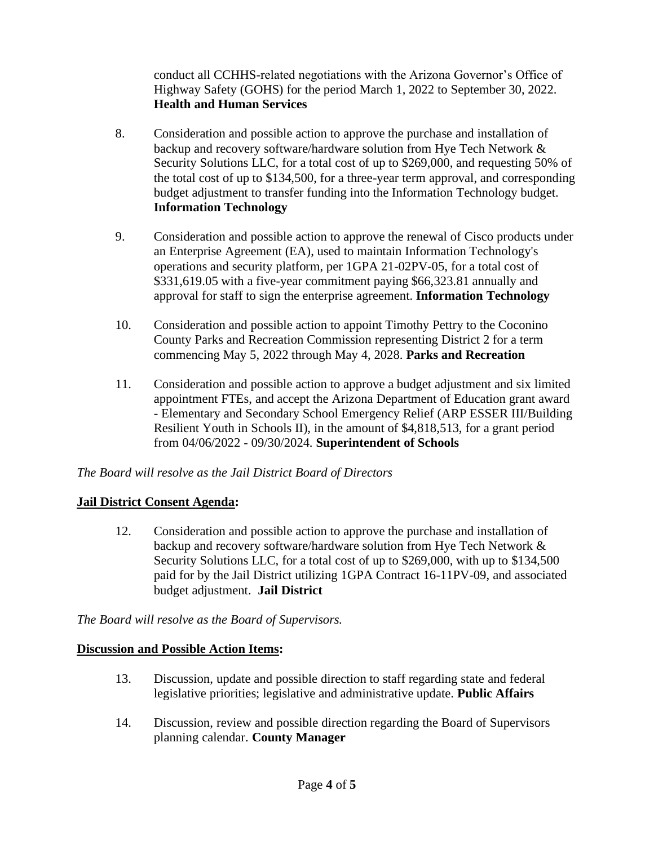conduct all CCHHS-related negotiations with the Arizona Governor's Office of Highway Safety (GOHS) for the period March 1, 2022 to September 30, 2022. **Health and Human Services**

- 8. Consideration and possible action to approve the purchase and installation of backup and recovery software/hardware solution from Hye Tech Network & Security Solutions LLC, for a total cost of up to \$269,000, and requesting 50% of the total cost of up to \$134,500, for a three-year term approval, and corresponding budget adjustment to transfer funding into the Information Technology budget. **Information Technology**
- 9. Consideration and possible action to approve the renewal of Cisco products under an Enterprise Agreement (EA), used to maintain Information Technology's operations and security platform, per 1GPA 21-02PV-05, for a total cost of \$331,619.05 with a five-year commitment paying \$66,323.81 annually and approval for staff to sign the enterprise agreement. **Information Technology**
- 10. Consideration and possible action to appoint Timothy Pettry to the Coconino County Parks and Recreation Commission representing District 2 for a term commencing May 5, 2022 through May 4, 2028. **Parks and Recreation**
- 11. Consideration and possible action to approve a budget adjustment and six limited appointment FTEs, and accept the Arizona Department of Education grant award - Elementary and Secondary School Emergency Relief (ARP ESSER III/Building Resilient Youth in Schools II), in the amount of \$4,818,513, for a grant period from 04/06/2022 - 09/30/2024. **Superintendent of Schools**

## *The Board will resolve as the Jail District Board of Directors*

## **Jail District Consent Agenda:**

12. Consideration and possible action to approve the purchase and installation of backup and recovery software/hardware solution from Hye Tech Network & Security Solutions LLC, for a total cost of up to \$269,000, with up to \$134,500 paid for by the Jail District utilizing 1GPA Contract 16-11PV-09, and associated budget adjustment. **Jail District**

## *The Board will resolve as the Board of Supervisors.*

#### **Discussion and Possible Action Items:**

- 13. Discussion, update and possible direction to staff regarding state and federal legislative priorities; legislative and administrative update. **Public Affairs**
- 14. Discussion, review and possible direction regarding the Board of Supervisors planning calendar. **County Manager**